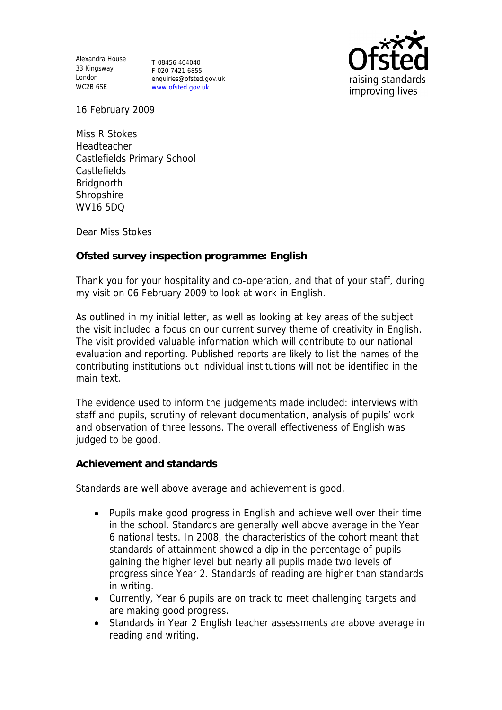Alexandra House 33 Kingsway T 08456 404040 London WC2B 6SE

F 020 7421 6855 enquiries@ofsted.gov.uk www.ofsted.gov.uk



16 February 2009

Miss R Stokes Headteacher Castlefields Primary School **Castlefields Bridgnorth** Shropshire WV16 5DQ

Dear Miss Stokes

**Ofsted survey inspection programme: English** 

Thank you for your hospitality and co-operation, and that of your staff, during my visit on 06 February 2009 to look at work in English.

As outlined in my initial letter, as well as looking at key areas of the subject the visit included a focus on our current survey theme of creativity in English. The visit provided valuable information which will contribute to our national evaluation and reporting. Published reports are likely to list the names of the contributing institutions but individual institutions will not be identified in the main text.

The evidence used to inform the judgements made included: interviews with staff and pupils, scrutiny of relevant documentation, analysis of pupils' work and observation of three lessons. The overall effectiveness of English was judged to be good.

**Achievement and standards** 

Standards are well above average and achievement is good.

- Pupils make good progress in English and achieve well over their time in the school. Standards are generally well above average in the Year 6 national tests. In 2008, the characteristics of the cohort meant that standards of attainment showed a dip in the percentage of pupils gaining the higher level but nearly all pupils made two levels of progress since Year 2. Standards of reading are higher than standards in writing.
- Currently, Year 6 pupils are on track to meet challenging targets and are making good progress.
- Standards in Year 2 English teacher assessments are above average in reading and writing.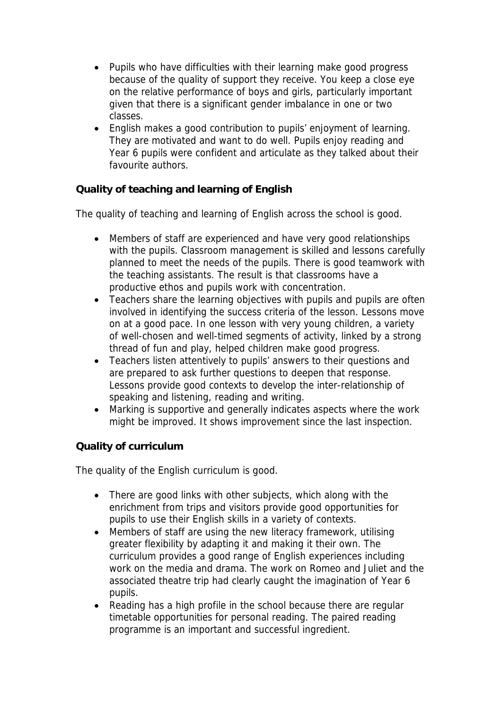- Pupils who have difficulties with their learning make good progress because of the quality of support they receive. You keep a close eye on the relative performance of boys and girls, particularly important given that there is a significant gender imbalance in one or two classes.
- English makes a good contribution to pupils' enjoyment of learning. They are motivated and want to do well. Pupils enjoy reading and Year 6 pupils were confident and articulate as they talked about their favourite authors.

## **Quality of teaching and learning of English**

The quality of teaching and learning of English across the school is good.

- Members of staff are experienced and have very good relationships with the pupils. Classroom management is skilled and lessons carefully planned to meet the needs of the pupils. There is good teamwork with the teaching assistants. The result is that classrooms have a productive ethos and pupils work with concentration.
- Teachers share the learning objectives with pupils and pupils are often involved in identifying the success criteria of the lesson. Lessons move on at a good pace. In one lesson with very young children, a variety of well-chosen and well-timed segments of activity, linked by a strong thread of fun and play, helped children make good progress.
- Teachers listen attentively to pupils' answers to their questions and are prepared to ask further questions to deepen that response. Lessons provide good contexts to develop the inter-relationship of speaking and listening, reading and writing.
- Marking is supportive and generally indicates aspects where the work might be improved. It shows improvement since the last inspection.

## **Quality of curriculum**

The quality of the English curriculum is good.

- There are good links with other subjects, which along with the enrichment from trips and visitors provide good opportunities for pupils to use their English skills in a variety of contexts.
- Members of staff are using the new literacy framework, utilising greater flexibility by adapting it and making it their own. The curriculum provides a good range of English experiences including work on the media and drama. The work on Romeo and Juliet and the associated theatre trip had clearly caught the imagination of Year 6 pupils.
- Reading has a high profile in the school because there are regular timetable opportunities for personal reading. The paired reading programme is an important and successful ingredient.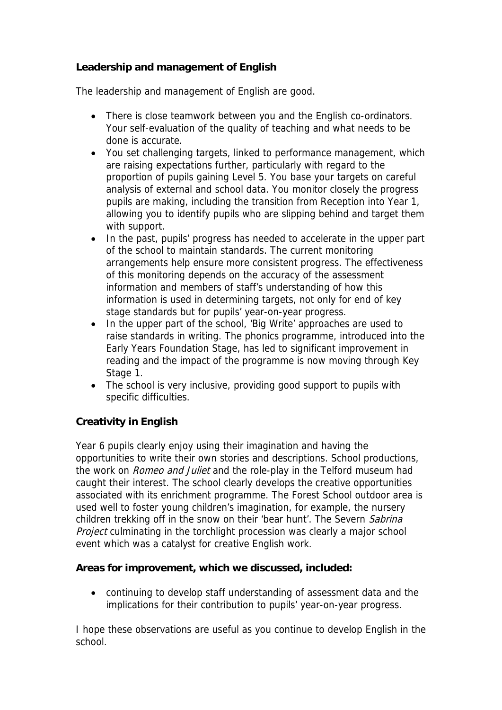## **Leadership and management of English**

The leadership and management of English are good.

- There is close teamwork between you and the English co-ordinators. Your self-evaluation of the quality of teaching and what needs to be done is accurate.
- You set challenging targets, linked to performance management, which are raising expectations further, particularly with regard to the proportion of pupils gaining Level 5. You base your targets on careful analysis of external and school data. You monitor closely the progress pupils are making, including the transition from Reception into Year 1, allowing you to identify pupils who are slipping behind and target them with support.
- In the past, pupils' progress has needed to accelerate in the upper part of the school to maintain standards. The current monitoring arrangements help ensure more consistent progress. The effectiveness of this monitoring depends on the accuracy of the assessment information and members of staff's understanding of how this information is used in determining targets, not only for end of key stage standards but for pupils' year-on-year progress.
- In the upper part of the school, 'Big Write' approaches are used to raise standards in writing. The phonics programme, introduced into the Early Years Foundation Stage, has led to significant improvement in reading and the impact of the programme is now moving through Key Stage 1.
- The school is very inclusive, providing good support to pupils with specific difficulties.

## **Creativity in English**

Year 6 pupils clearly enjoy using their imagination and having the opportunities to write their own stories and descriptions. School productions, the work on *Romeo and Juliet* and the role-play in the Telford museum had caught their interest. The school clearly develops the creative opportunities associated with its enrichment programme. The Forest School outdoor area is used well to foster young children's imagination, for example, the nursery children trekking off in the snow on their 'bear hunt'. The Severn Sabrina Project culminating in the torchlight procession was clearly a major school event which was a catalyst for creative English work.

**Areas for improvement, which we discussed, included:**

 continuing to develop staff understanding of assessment data and the implications for their contribution to pupils' year-on-year progress.

I hope these observations are useful as you continue to develop English in the school.